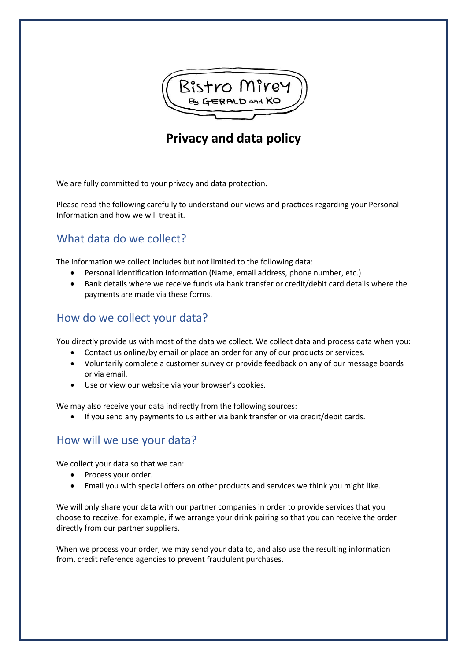

# **Privacy and data policy**

We are fully committed to your privacy and data protection.

Please read the following carefully to understand our views and practices regarding your Personal Information and how we will treat it.

## What data do we collect?

The information we collect includes but not limited to the following data:

- Personal identification information (Name, email address, phone number, etc.)
- Bank details where we receive funds via bank transfer or credit/debit card details where the payments are made via these forms.

#### How do we collect your data?

You directly provide us with most of the data we collect. We collect data and process data when you:

- Contact us online/by email or place an order for any of our products or services.
- Voluntarily complete a customer survey or provide feedback on any of our message boards or via email.
- Use or view our website via your browser's cookies.

We may also receive your data indirectly from the following sources:

• If you send any payments to us either via bank transfer or via credit/debit cards.

#### How will we use your data?

We collect your data so that we can:

- Process your order.
- Email you with special offers on other products and services we think you might like.

We will only share your data with our partner companies in order to provide services that you choose to receive, for example, if we arrange your drink pairing so that you can receive the order directly from our partner suppliers.

When we process your order, we may send your data to, and also use the resulting information from, credit reference agencies to prevent fraudulent purchases.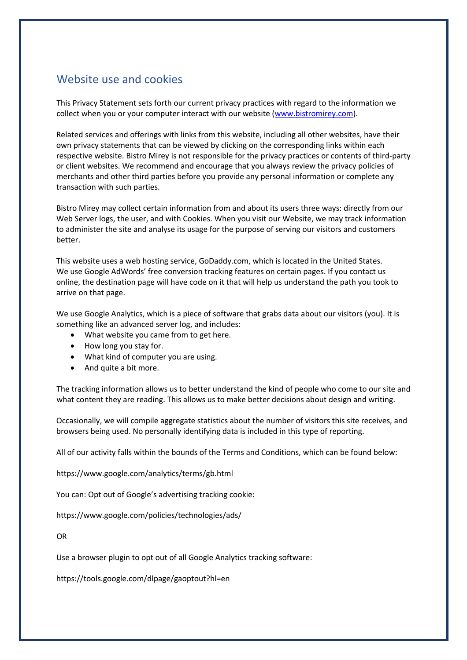# Website use and cookies

This Privacy Statement sets forth our current privacy practices with regard to the information we collect when you or your computer interact with our website (www.bistromirey.com).

Related services and offerings with links from this website, including all other websites, have their own privacy statements that can be viewed by clicking on the corresponding links within each respective website. Bistro Mirey is not responsible for the privacy practices or contents of third-party or client websites. We recommend and encourage that you always review the privacy policies of merchants and other third parties before you provide any personal information or complete any transaction with such parties.

Bistro Mirey may collect certain information from and about its users three ways: directly from our Web Server logs, the user, and with Cookies. When you visit our Website, we may track information to administer the site and analyse its usage for the purpose of serving our visitors and customers better.

This website uses a web hosting service, GoDaddy.com, which is located in the United States. We use Google AdWords' free conversion tracking features on certain pages. If you contact us online, the destination page will have code on it that will help us understand the path you took to arrive on that page.

We use Google Analytics, which is a piece of software that grabs data about our visitors (you). It is something like an advanced server log, and includes:

- What website you came from to get here.
- How long you stay for.
- What kind of computer you are using.
- And quite a bit more.

The tracking information allows us to better understand the kind of people who come to our site and what content they are reading. This allows us to make better decisions about design and writing.

Occasionally, we will compile aggregate statistics about the number of visitors this site receives, and browsers being used. No personally identifying data is included in this type of reporting.

All of our activity falls within the bounds of the Terms and Conditions, which can be found below:

https://www.google.com/analytics/terms/gb.html

You can: Opt out of Google's advertising tracking cookie:

https://www.google.com/policies/technologies/ads/

OR

Use a browser plugin to opt out of all Google Analytics tracking software:

https://tools.google.com/dlpage/gaoptout?hl=en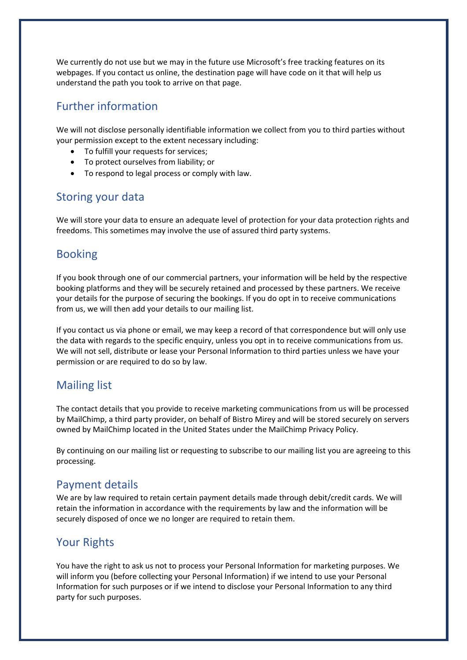We currently do not use but we may in the future use Microsoft's free tracking features on its webpages. If you contact us online, the destination page will have code on it that will help us understand the path you took to arrive on that page.

# Further information

We will not disclose personally identifiable information we collect from you to third parties without your permission except to the extent necessary including:

- To fulfill your requests for services;
- To protect ourselves from liability; or
- To respond to legal process or comply with law.

#### Storing your data

We will store your data to ensure an adequate level of protection for your data protection rights and freedoms. This sometimes may involve the use of assured third party systems.

#### Booking

If you book through one of our commercial partners, your information will be held by the respective booking platforms and they will be securely retained and processed by these partners. We receive your details for the purpose of securing the bookings. If you do opt in to receive communications from us, we will then add your details to our mailing list.

If you contact us via phone or email, we may keep a record of that correspondence but will only use the data with regards to the specific enquiry, unless you opt in to receive communications from us. We will not sell, distribute or lease your Personal Information to third parties unless we have your permission or are required to do so by law.

# Mailing list

The contact details that you provide to receive marketing communications from us will be processed by MailChimp, a third party provider, on behalf of Bistro Mirey and will be stored securely on servers owned by MailChimp located in the United States under the MailChimp Privacy Policy.

By continuing on our mailing list or requesting to subscribe to our mailing list you are agreeing to this processing.

#### Payment details

We are by law required to retain certain payment details made through debit/credit cards. We will retain the information in accordance with the requirements by law and the information will be securely disposed of once we no longer are required to retain them.

#### Your Rights

You have the right to ask us not to process your Personal Information for marketing purposes. We will inform you (before collecting your Personal Information) if we intend to use your Personal Information for such purposes or if we intend to disclose your Personal Information to any third party for such purposes.